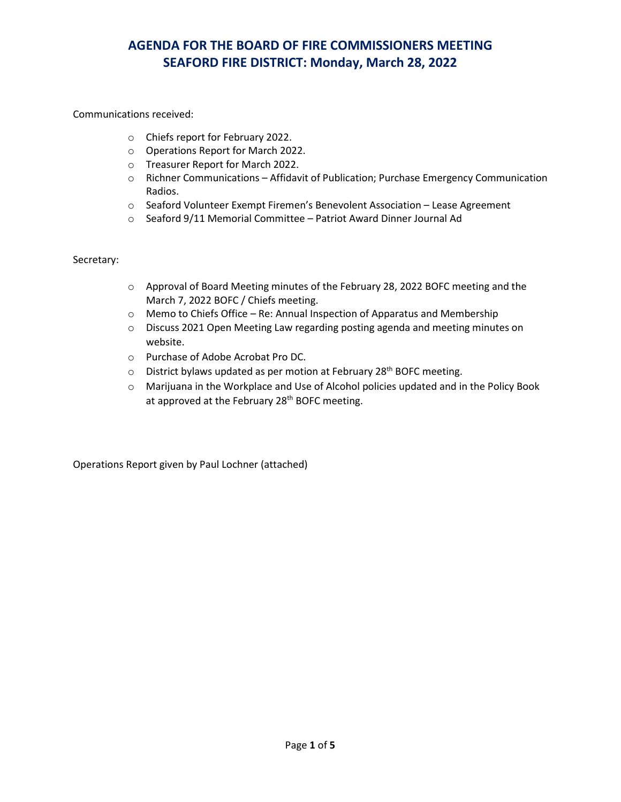#### Communications received:

- o Chiefs report for February 2022.
- o Operations Report for March 2022.
- o Treasurer Report for March 2022.
- o Richner Communications Affidavit of Publication; Purchase Emergency Communication Radios.
- o Seaford Volunteer Exempt Firemen's Benevolent Association Lease Agreement
- o Seaford 9/11 Memorial Committee Patriot Award Dinner Journal Ad

#### Secretary:

- o Approval of Board Meeting minutes of the February 28, 2022 BOFC meeting and the March 7, 2022 BOFC / Chiefs meeting.
- o Memo to Chiefs Office Re: Annual Inspection of Apparatus and Membership
- o Discuss 2021 Open Meeting Law regarding posting agenda and meeting minutes on website.
- o Purchase of Adobe Acrobat Pro DC.
- $\circ$  District bylaws updated as per motion at February 28<sup>th</sup> BOFC meeting.
- o Marijuana in the Workplace and Use of Alcohol policies updated and in the Policy Book at approved at the February 28<sup>th</sup> BOFC meeting.

Operations Report given by Paul Lochner (attached)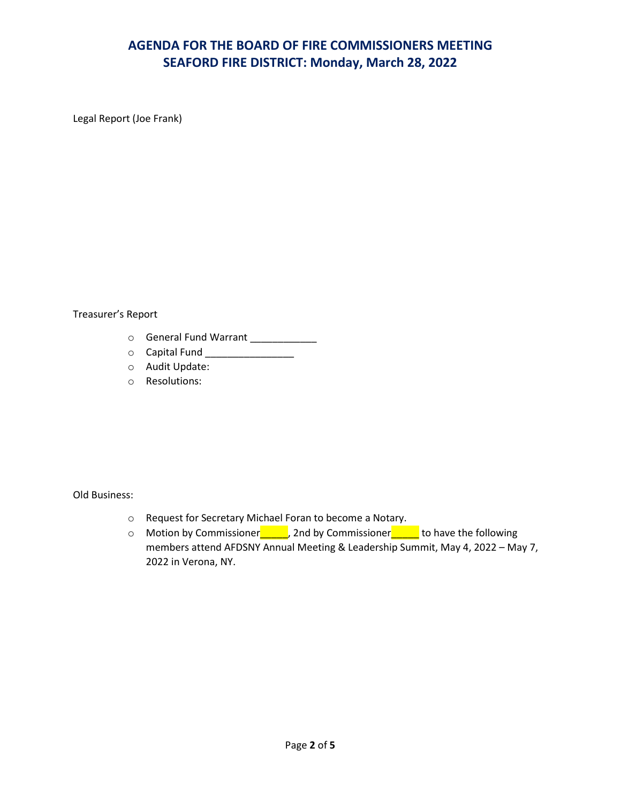Legal Report (Joe Frank)

Treasurer's Report

- o General Fund Warrant \_\_\_\_\_\_\_\_\_\_\_\_
- o Capital Fund \_\_\_\_\_\_\_\_\_\_\_\_\_\_\_\_
- o Audit Update:
- o Resolutions:

Old Business:

- o Request for Secretary Michael Foran to become a Notary.
- o Motion by Commissioner**UP 6. 2008** 2nd by Commissioner**UP 6. 2008** to have the following members attend AFDSNY Annual Meeting & Leadership Summit, May 4, 2022 – May 7, 2022 in Verona, NY.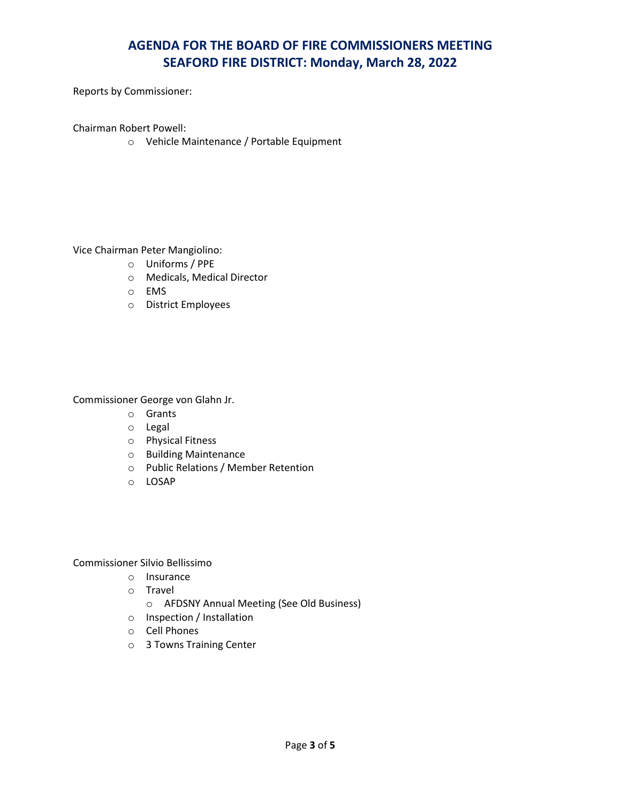Reports by Commissioner:

Chairman Robert Powell:

o Vehicle Maintenance / Portable Equipment

Vice Chairman Peter Mangiolino:

- o Uniforms / PPE
	- o Medicals, Medical Director
	- o EMS
	- o District Employees

Commissioner George von Glahn Jr.

- o Grants
- o Legal
- o Physical Fitness
- o Building Maintenance
- o Public Relations / Member Retention
- o LOSAP

Commissioner Silvio Bellissimo

- o Insurance
- o Travel
	- o AFDSNY Annual Meeting (See Old Business)
- o Inspection / Installation
- o Cell Phones
- o 3 Towns Training Center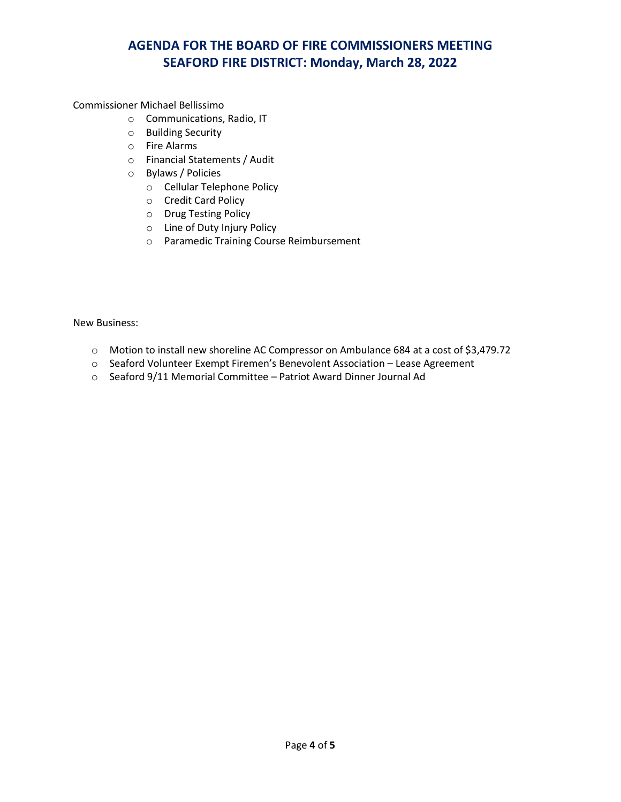#### Commissioner Michael Bellissimo

- o Communications, Radio, IT
- o Building Security
- o Fire Alarms
- o Financial Statements / Audit
- o Bylaws / Policies
	- o Cellular Telephone Policy
	- o Credit Card Policy
	- o Drug Testing Policy
	- o Line of Duty Injury Policy
	- o Paramedic Training Course Reimbursement

New Business:

- o Motion to install new shoreline AC Compressor on Ambulance 684 at a cost of \$3,479.72
- o Seaford Volunteer Exempt Firemen's Benevolent Association Lease Agreement
- o Seaford 9/11 Memorial Committee Patriot Award Dinner Journal Ad